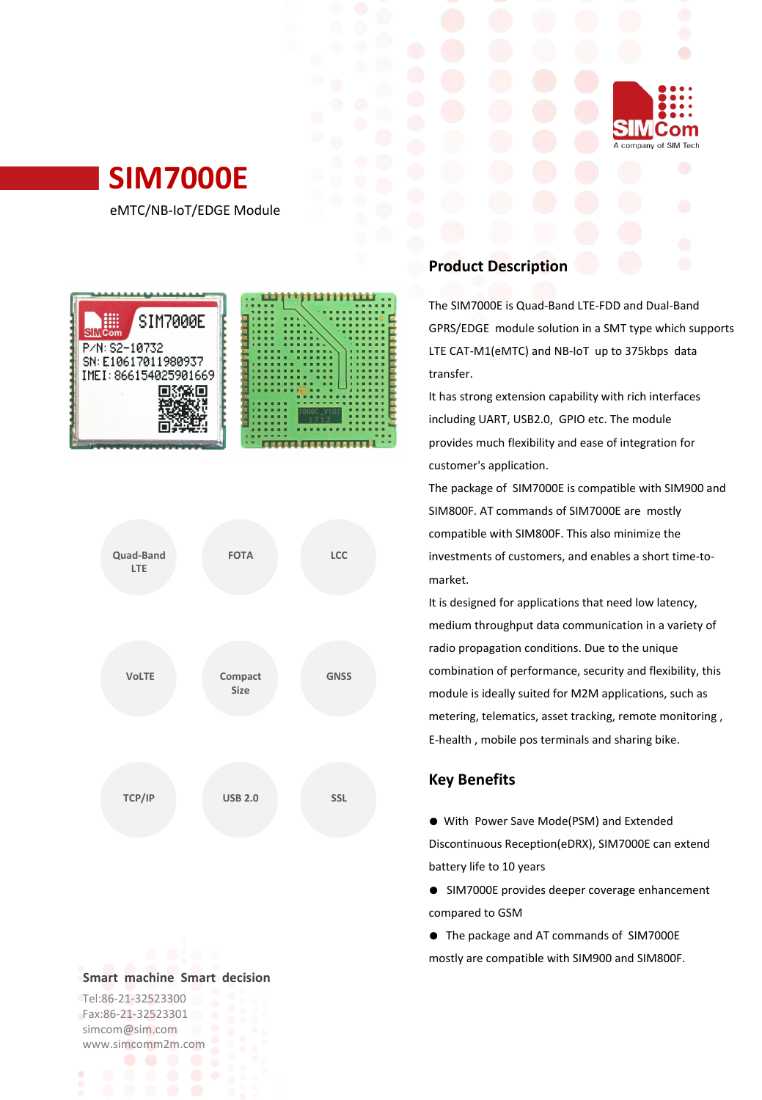



eMTC/NB-IoT/EDGE Module





#### **Smart machine Smart decision**

Tel:86-21-32523300 Fax:86-21-32523301 simcom@sim.com www.simcomm2m.com

## **Product Description**

The SIM7000E is Quad-Band LTE-FDD and Dual-Band GPRS/EDGE module solution in a SMT type which supports LTE CAT-M1(eMTC) and NB-IoT up to 375kbps data transfer.

It has strong extension capability with rich interfaces including UART, USB2.0, GPIO etc. The module provides much flexibility and ease of integration for customer's application.

The package of SIM7000E is compatible with SIM900 and SIM800F. AT commands of SIM7000E are mostly compatible with SIM800F. This also minimize the investments of customers, and enables a short time-to- **FOTA LCC** market.

> It is designed for applications that need low latency, medium throughput data communication in a variety of radio propagation conditions. Due to the unique combination of performance, security and flexibility, this module is ideally suited for M2M applications, such as metering, telematics, asset tracking, remote monitoring , E-health , mobile pos terminals and sharing bike.

### **Key Benefits**

● With Power Save Mode(PSM) and Extended Discontinuous Reception(eDRX), SIM7000E can extend battery life to 10 years

- SIM7000E provides deeper coverage enhancement compared to GSM
- The package and AT commands of SIM7000E mostly are compatible with SIM900 and SIM800F.